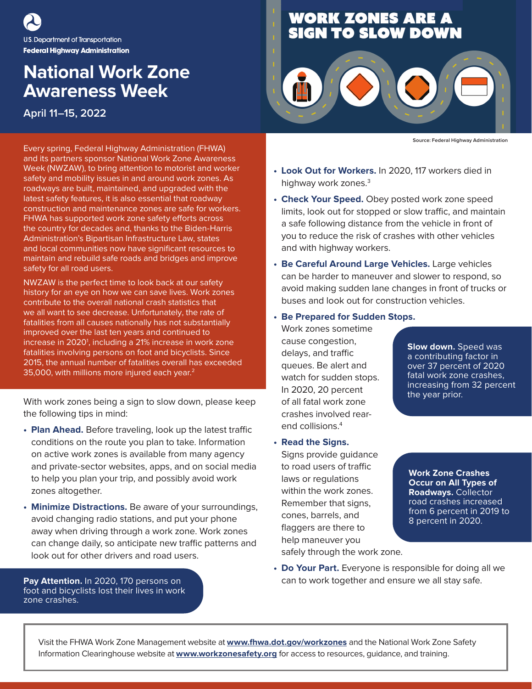U.S. Department of Transportation **Federal Highway Administration** 

## **National Work Zone Awareness Week**

**April 11–15, 2022**

Every spring, Federal Highway Administration (FHWA) and its partners sponsor National Work Zone Awareness Week (NWZAW), to bring attention to motorist and worker safety and mobility issues in and around work zones. As roadways are built, maintained, and upgraded with the latest safety features, it is also essential that roadway construction and maintenance zones are safe for workers. FHWA has supported work zone safety efforts across the country for decades and, thanks to the Biden-Harris Administration's Bipartisan Infrastructure Law, states and local communities now have significant resources to maintain and rebuild safe roads and bridges and improve safety for all road users.

NWZAW is the perfect time to look back at our safety history for an eye on how we can save lives. Work zones contribute to the overall national crash statistics that we all want to see decrease. Unfortunately, the rate of fatalities from all causes nationally has not substantially improved over the last ten years and continued to increase in 2020<sup>1</sup>, including a 21% increase in work zone fatalities involving persons on foot and bicyclists. Since 2015, the annual number of fatalities overall has exceeded 35,000, with millions more injured each year.2

With work zones being a sign to slow down, please keep the following tips in mind:

- **• Plan Ahead.** Before traveling, look up the latest traffic conditions on the route you plan to take. Information on active work zones is available from many agency and private-sector websites, apps, and on social media to help you plan your trip, and possibly avoid work zones altogether.
- **• Minimize Distractions.** Be aware of your surroundings, avoid changing radio stations, and put your phone away when driving through a work zone. Work zones can change daily, so anticipate new traffic patterns and look out for other drivers and road users.

**Pay Attention.** In 2020, 170 persons on foot and bicyclists lost their lives in work zone crashes.

## **WORK ZONES ARE A<br>SIGN TO SLOW DOWN**



**Source: Federal Highway Administration**

- **• Look Out for Workers.** In 2020, 117 workers died in highway work zones.<sup>3</sup>
- **• Check Your Speed.** Obey posted work zone speed limits, look out for stopped or slow traffic, and maintain a safe following distance from the vehicle in front of you to reduce the risk of crashes with other vehicles and with highway workers.
- **• Be Careful Around Large Vehicles.** Large vehicles can be harder to maneuver and slower to respond, so avoid making sudden lane changes in front of trucks or buses and look out for construction vehicles.
- **• Be Prepared for Sudden Stops.**

Work zones sometime cause congestion, delays, and traffic queues. Be alert and watch for sudden stops. In 2020, 20 percent of all fatal work zone crashes involved rearend collisions.4

**• Read the Signs.** Signs provide guidance to road users of traffic laws or regulations within the work zones. Remember that signs, cones, barrels, and flaggers are there to help maneuver you safely through the work zone.

**Slow down.** Speed was a contributing factor in over 37 percent of 2020 fatal work zone crashes, increasing from 32 percent the year prior.

**Work Zone Crashes Occur on All Types of Roadways.** Collector road crashes increased from 6 percent in 2019 to 8 percent in 2020.

**• Do Your Part.** Everyone is responsible for doing all we can to work together and ensure we all stay safe.

Visit the FHWA Work Zone Management website at **[www.fhwa.dot.gov/workzones](https://www.fhwa.dot.gov/workzones)** and the National Work Zone Safety Information Clearinghouse website at **[www.workzonesafety.org](https://www.workzonesafety.org)** for access to resources, guidance, and training.